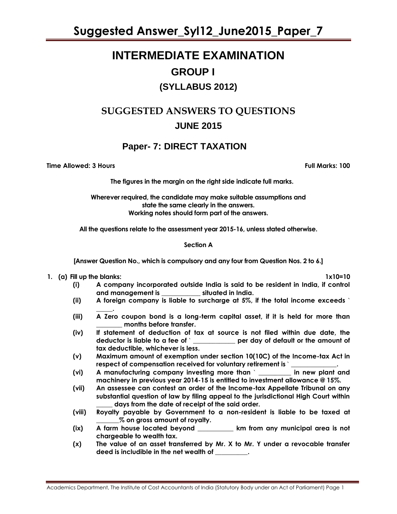**Suggested Answer\_Syl12\_June2015\_Paper\_7**

# **INTERMEDIATE EXAMINATION GROUP I (SYLLABUS 2012)**

## **SUGGESTED ANSWERS TO QUESTIONS JUNE 2015**

### **Paper- 7: DIRECT TAXATION**

**Time Allowed: 3 Hours Full Marks: 100**

**The figures in the margin on the right side indicate full marks.**

**Wherever required, the candidate may make suitable assumptions and state the same clearly in the answers. Working notes should form part of the answers.** 

**All the questions relate to the assessment year 2015-16, unless stated otherwise.**

#### **Section A**

**[Answer Question No., which is compulsory and any four from Question Nos. 2 to 6.]**

**1. (a) Fill up the blanks: 1x10=10**

- **(i) A company incorporated outside India is said to be resident in India, if control and management is \_\_\_\_\_\_\_\_\_\_\_\_ situated in India.**
- **(ii) A foreign company is liable to surcharge at 5%, if the total income exceeds** `
- **\_\_\_\_\_. (iii) A Zero coupon bond is a long-term capital asset, if it is held for more than \_\_\_\_\_\_\_\_ months before transfer.**
- **(iv) If statement of deduction of tax at source is not filed within due date, the deductor is liable to a fee of** ` **\_\_\_\_\_\_\_\_\_\_\_\_\_ per day of default or the amount of tax deductible, whichever is less.**
- **(v) Maximum amount of exemption under section 10(10C) of the Income-tax Act in**  respect of compensation received for voluntary retirement is `
- **(vi) A manufacturing company investing more than** ` **\_\_\_\_\_\_\_\_\_\_ in new plant and machinery in previous year 2014-15 is entitled to investment allowance @ 15%.**
- **(vii) An assessee can contest an order of the Income-tax Appellate Tribunal on any substantial question of law by filing appeal to the jurisdictional High Court within \_\_\_\_\_ days from the date of receipt of the said order.**
- **(viii) Royalty payable by Government to a non-resident is liable to be taxed at \_\_\_\_\_\_\_% on gross amount of royalty.**
- **(ix) A farm house located beyond \_\_\_\_\_\_\_\_\_\_\_ km from any municipal area is not chargeable to wealth tax.**
- **(x) The value of an asset transferred by Mr. X to Mr. Y under a revocable transfer deed is includible in the net wealth of \_\_\_\_\_\_\_\_\_\_.**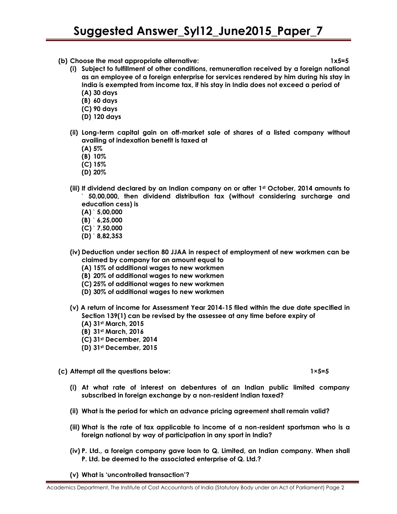- **(b) Choose the most appropriate alternative: 1x5=5**
	- **(i) Subject to fulfillment of other conditions, remuneration received by a foreign national as an employee of a foreign enterprise for services rendered by him during his stay in India is exempted from income tax, if his stay in India does not exceed a period of (A) 30 days** 
		- **(B) 60 days**
		- **(C) 90 days**
		- **(D) 120 days**
	- **(ii) Long-term capital gain on off-market sale of shares of a listed company without availing of indexation benefit is taxed at** 
		- **(A) 5%**
		- **(B) 10%**
		- **(C) 15%**
		- **(D) 20%**
	- **(iii) If dividend declared by an Indian company on or after 1st October, 2014 amounts to** ` **50,00,000, then dividend distribution tax (without considering surcharge and education cess) is** 
		- **(A)** ` **5,00,000**
		- **(B)** ` **6,25,000**
		- **(C)** ` **7,50,000**
		- **(D)** ` **8,82,353**
	- **(iv) Deduction under section 80 JJAA in respect of employment of new workmen can be claimed by company for an amount equal to**
		- **(A) 15% of additional wages to new workmen**
		- **(B) 20% of additional wages to new workmen**
		- **(C) 25% of additional wages to new workmen**
		- **(D) 30% of additional wages to new workmen**
	- **(v) A return of income for Assessment Year 2014-15 filed within the due date specified in Section 139(1) can be revised by the assessee at any time before expiry of**
		- **(A) 31st March, 2015**
		- **(B) 31st March, 2016**
		- **(C) 31st December, 2014**
		- **(D) 31st December, 2015**

**(c) Attempt all the questions below: 1×5=5**

- **(i) At what rate of interest on debentures of an Indian public limited company subscribed in foreign exchange by a non-resident Indian taxed?**
- **(ii) What is the period for which an advance pricing agreement shall remain valid?**
- **(iii) What is the rate of tax applicable to income of a non-resident sportsman who is a foreign national by way of participation in any sport in India?**
- **(iv) P. Ltd., a foreign company gave loan to Q. Limited, an Indian company. When shall P. Ltd. be deemed to the associated enterprise of Q. Ltd.?**

**(v) What is 'uncontrolled transaction'?**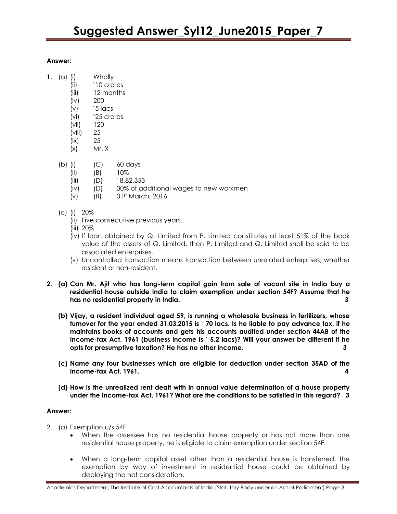- **1.** (a) (i) Wholly
	- (ii) `10 crores
	- (iii) 12 months
	- (iv) 200
	- $(v)$  '5  $\text{locs}$ (vi) `25 crores
	- (vii) 120
	- (viii) 25
	- (ix) 25
	- $(x)$  Mr. X
	- (b) (i) (C) 60 days
		- $(iii)$   $(B)$   $10\%$
		- $(iii)$   $(D)$   $8,82,353$
		- (iv) (D) 30% of additional wages to new workmen
		- (v) (B) 31st March, 2016
	- (c) (i) 20%
		- (ii) Five consecutive previous years.
		- (iii) 20%
		- (iv) If loan obtained by Q. Limited from P. Limited constitutes at least 51% of the book value of the assets of Q. Limited, then P. Limited and Q. Limited shall be said to be associated enterprises.
		- (v) Uncontrolled transaction means transaction between unrelated enterprises, whether resident or non-resident.
- **2. (a) Can Mr. Ajit who has long-term capital gain from sale of vacant site in India buy a residential house outside India to claim exemption under section 54F? Assume that he has no residential property in India. 3**
	- **(b) Vijay, a resident individual aged 59, is running a wholesale business in fertilizers, whose turnover for the year ended 31.03.2015 is** ` **70 lacs. Is he liable to pay advance tax, if he maintains books of accounts and gets his accounts audited under section 44AB of the Income-tax Act, 1961 (business income is** ` **5.2 lacs)? Will your answer be different if he opts for presumptive taxation? He has no other income. 3**
	- **(c) Name any four businesses which are eligible for deduction under section 35AD of the Income-tax Act, 1961. 4**
	- **(d) How is the unrealized rent dealt with in annual value determination of a house property under the Income-tax Act, 1961? What are the conditions to be satisfied in this regard? 3**

#### **Answer:**

- 2. (a) Exemption u/s 54F
	- When the assessee has no residential house property or has not more than one residential house property, he is eligible to claim exemption under section 54F.
	- When a long-term capital asset other than a residential house is transferred, the exemption by way of investment in residential house could be obtained by deploying the net consideration.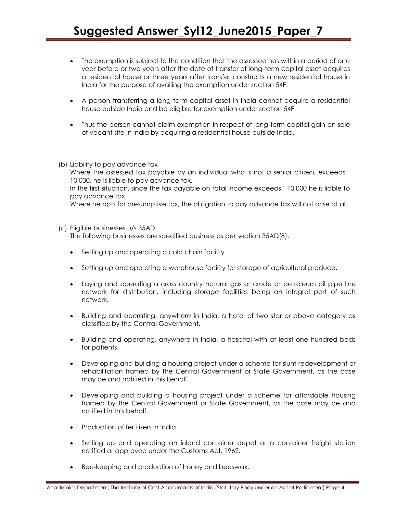- The exemption is subject to the condition that the assessee has within a period of one year before or two years after the date of transfer of long-term capital asset acquires a residential house or three years after transfer constructs a new residential house in India for the purpose of availing the exemption under section 54F.
- A person transferring a long-term capital asset in India cannot acquire a residential house outside India and be eligible for exemption under section 54F.
- Thus the person cannot claim exemption in respect of long-term capital gain on sale of vacant site in India by acquiring a residential house outside India.
- (b) Liability to pay advance tax

Where the assessed tax payable by an individual who is not a senior citizen, exceeds ` 10,000, he is liable to pay advance tax.

In the first situation, since the tax payable on total income exceeds ` 10,000 he is liable to pay advance tax.

Where he opts for presumptive tax, the obligation to pay advance tax will not arise at all.

- (c) Eligible businesses u/s 35AD The following businesses are specified business as per section 35AD(8):
	- Setting up and operating a cold chain facility
	- Setting up and operating a warehouse facility for storage of agricultural produce.
	- Laying and operating a cross country natural gas or crude or petroleum oil pipe line network for distribution, including storage facilities being an integral part of such network.
	- Building and operating, anywhere in India, a hotel of two star or above category as classified by the Central Government.
	- Building and operating, anywhere in India, a hospital with at least one hundred beds for patients.
	- Developing and building a housing project under a scheme for slum redevelopment or rehabilitation framed by the Central Government or State Government, as the case may be and notified in this behalf.
	- Developing and building a housing project under a scheme for affordable housing framed by the Central Government or State Government, as the case may be and notified in this behalf.
	- Production of fertilizers in India.
	- Setting up and operating an inland container depot or a container freight station notified or approved under the Customs Act, 1962.
	- Bee-keeping and production of honey and beeswax.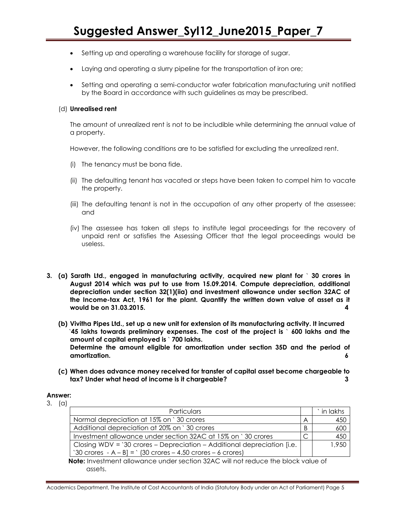- Setting up and operating a warehouse facility for storage of sugar.
- Laying and operating a slurry pipeline for the transportation of iron ore;
- Setting and operating a semi-conductor wafer fabrication manufacturing unit notified by the Board in accordance with such guidelines as may be prescribed.

#### (d) **Unrealised rent**

The amount of unrealized rent is not to be includible while determining the annual value of a property.

However, the following conditions are to be satisfied for excluding the unrealized rent.

- (i) The tenancy must be bona fide.
- (ii) The defaulting tenant has vacated or steps have been taken to compel him to vacate the property.
- (iii) The defaulting tenant is not in the occupation of any other property of the assessee; and
- (iv) The assessee has taken all steps to institute legal proceedings for the recovery of unpaid rent or satisfies the Assessing Officer that the legal proceedings would be useless.
- **3. (a) Sarath Ltd., engaged in manufacturing activity, acquired new plant for** ` **30 crores in August 2014 which was put to use from 15.09.2014. Compute depreciation, additional depreciation under section 32(1)(iia) and investment allowance under section 32AC of the Income-tax Act, 1961 for the plant. Quantify the written down value of asset as it would be on 31.03.2015. 4**
	- **(b) Vivitha Pipes Ltd., set up a new unit for extension of its manufacturing activity. It incurred** `**45 lakhs towards preliminary expenses. The cost of the project is** ` **600 lakhs and the amount of capital employed is** ` **700 lakhs. Determine the amount eligible for amortization under section 35D and the period of amortization. 6**
	- **(c) When does advance money received for transfer of capital asset become chargeable to tax? Under what head of income is it chargeable? 3**

#### **Answer:**

3. (a)

| Particulars                                                             |   | ` in lakhs |
|-------------------------------------------------------------------------|---|------------|
| Normal depreciation at 15% on `30 crores                                | Α | 450        |
| Additional depreciation at 20% on `30 crores                            | B | 600        |
| Investment allowance under section 32AC at 15% on '30 crores            |   | 450        |
| Closing WDV = '30 crores - Depreciation - Additional depreciation [i.e. |   | 1,950      |
| '30 crores - A – B] = ' (30 crores – 4.50 crores – 6 crores)            |   |            |

 **Note:** Investment allowance under section 32AC will not reduce the block value of assets.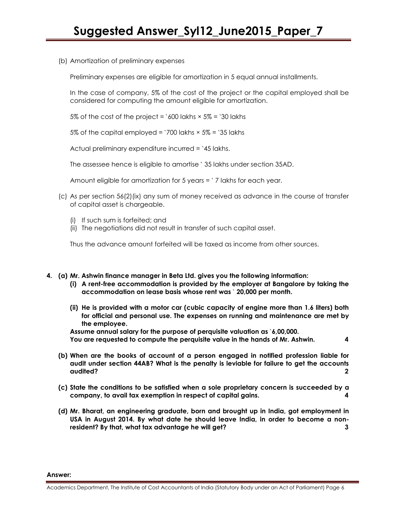(b) Amortization of preliminary expenses

Preliminary expenses are eligible for amortization in 5 equal annual installments.

In the case of company, 5% of the cost of the project or the capital employed shall be considered for computing the amount eligible for amortization.

5% of the cost of the project =  $\delta$ 00 lakhs  $\times$  5% =  $\delta$ 30 lakhs

5% of the capital employed = `700 lakhs  $\times$  5% = `35 lakhs

Actual preliminary expenditure incurred = `45 lakhs.

The assessee hence is eligible to amortise ` 35 lakhs under section 35AD.

Amount eligible for amortization for 5 years = ` 7 lakhs for each year.

- (c) As per section 56(2)(ix) any sum of money received as advance in the course of transfer of capital asset is chargeable.
	- (i) If such sum is forfeited; and
	- (ii) The negotiations did not result in transfer of such capital asset.

Thus the advance amount forfeited will be taxed as income from other sources.

- **4. (a) Mr. Ashwin finance manager in Beta Ltd. gives you the following information:**
	- **(i) A rent-free accommodation is provided by the employer at Bangalore by taking the accommodation on lease basis whose rent was** ` **20,000 per month.**
	- **(ii) He is provided with a motor car (cubic capacity of engine more than 1.6 liters) both for official and personal use. The expenses on running and maintenance are met by the employee.**

**Assume annual salary for the purpose of perquisite valuation as** `**6,00,000. You are requested to compute the perquisite value in the hands of Mr. Ashwin. 4**

- **(b) When are the books of account of a person engaged in notified profession liable for audit under section 44AB? What is the penalty is leviable for failure to get the accounts audited? 2**
- **(c) State the conditions to be satisfied when a sole proprietary concern is succeeded by a company, to avail tax exemption in respect of capital gains. 4**
- **(d) Mr. Bharat, an engineering graduate, born and brought up in India, got employment in USA in August 2014. By what date he should leave India, in order to become a nonresident? By that, what tax advantage he will get? 3**

**Answer:**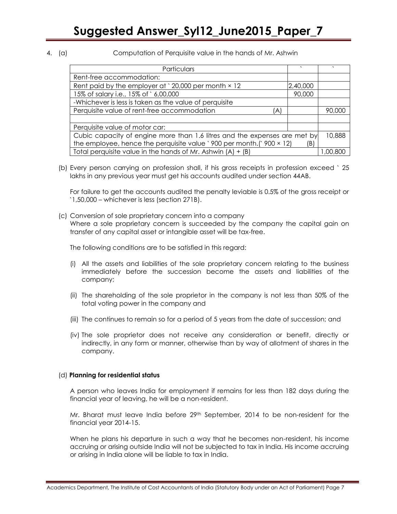4. (a) Computation of Perquisite value in the hands of Mr. Ashwin

| Particulars                                                                  | $\cdot$  |         |
|------------------------------------------------------------------------------|----------|---------|
| Rent-free accommodation:                                                     |          |         |
| Rent paid by the employer at $\degree$ 20,000 per month $\times$ 12          | 2,40,000 |         |
| 15% of salary i.e., 15% of `6,00,000                                         | 90,000   |         |
| -Whichever is less is taken as the value of perquisite                       |          |         |
| Perquisite value of rent-free accommodation<br>A.                            |          | 90.000  |
|                                                                              |          |         |
| Perquisite value of motor car:                                               |          |         |
| Cubic capacity of engine more than 1.6 litres and the expenses are met by    |          | 10,888  |
| the employee, hence the perquisite value '900 per month.(' $900 \times 12$ ) | (B)      |         |
| Total perquisite value in the hands of Mr. Ashwin $(A) + (B)$                |          | .00.800 |

(b) Every person carrying on profession shall, if his gross receipts in profession exceed ` 25 lakhs in any previous year must get his accounts audited under section 44AB.

For failure to get the accounts audited the penalty leviable is 0.5% of the gross receipt or `1,50,000 – whichever is less (section 271B).

(c) Conversion of sole proprietary concern into a company Where a sole proprietary concern is succeeded by the company the capital gain on transfer of any capital asset or intangible asset will be tax-free.

The following conditions are to be satisfied in this regard:

- (i) All the assets and liabilities of the sole proprietary concern relating to the business immediately before the succession become the assets and liabilities of the company;
- (ii) The shareholding of the sole proprietor in the company is not less than 50% of the total voting power in the company and
- (iii) The continues to remain so for a period of 5 years from the date of succession; and
- (iv) The sole proprietor does not receive any consideration or benefit, directly or indirectly, in any form or manner, otherwise than by way of allotment of shares in the company.

#### (d) **Planning for residential status**

A person who leaves India for employment if remains for less than 182 days during the financial year of leaving, he will be a non-resident.

Mr. Bharat must leave India before 29<sup>th</sup> September, 2014 to be non-resident for the financial year 2014-15.

When he plans his departure in such a way that he becomes non-resident, his income accruing or arising outside India will not be subjected to tax in India. His income accruing or arising in India alone will be liable to tax in India.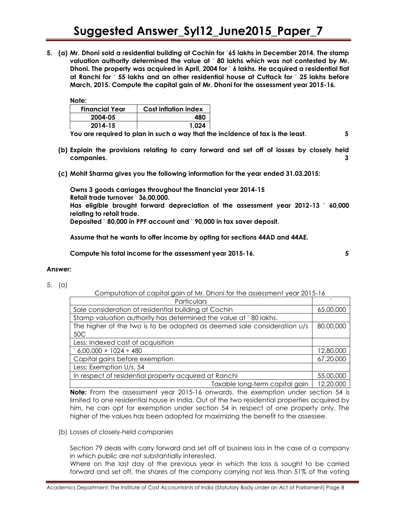**5. (a) Mr. Dhoni sold a residential building at Cochin for** `**65 lakhs in December 2014. The stamp valuation authority determined the value at** ` **80 lakhs which was not contested by Mr. Dhoni. The property was acquired in April, 2004 for** ` **6 lakhs. He acquired a residential flat at Ranchi for** ` **55 lakhs and an other residential house at Cuttack for** ` **25 lakhs before March, 2015. Compute the capital gain of Mr. Dhoni for the assessment year 2015-16.**

**Note:** 

| <b>Financial Year</b> | <b>Cost inflation index</b> |  |
|-----------------------|-----------------------------|--|
| 2004-05               | 480                         |  |
| 2014-15               | 1.024                       |  |

**You are required to plan in such a way that the incidence of tax is the least. 5**

- **(b) Explain the provisions relating to carry forward and set off of losses by closely held companies. 3**
- **(c) Mohit Sharma gives you the following information for the year ended 31.03.2015:**

**Owns 3 goods carriages throughout the financial year 2014-15 Retail trade turnover** ` **36,00,000. Has eligible brought forward depreciation of the assessment year 2012-13** ` **60,000 relating to retail trade. Deposited** ` **80,000 in PPF account and** ` **90,000 in tax saver deposit.**

**Assume that he wants to offer income by opting for sections 44AD and 44AE.**

**Compute his total income for the assessment year 2015-16. 5**

#### **Answer:**

5. (a)

Computation of capital gain of Mr. Dhoni for the assessment year 2015-16

| Particulars                                                             |           |
|-------------------------------------------------------------------------|-----------|
| Sale consideration of residential building at Cochin                    | 65,00,000 |
| Stamp valuation authority has determined the value at `80 lakhs.        |           |
| The higher of the two is to be adopted as deemed sale consideration u/s | 80,00,000 |
| 50C                                                                     |           |
| Less: Indexed cost of acquisition                                       |           |
| $6,00,000 \times 1024 \div 480$                                         | 12,80,000 |
| Capital gains before exemption                                          | 67,20,000 |
| Less: Exemption U/s. 54                                                 |           |
| In respect of residential property acquired at Ranchi                   |           |
| Taxable long-term capital gain                                          | 12,20,000 |

**Note:** From the assessment year 2015-16 onwards, the exemption under section 54 is limited to one residential house in India. Out of the two residential properties acquired by him, he can opt for exemption under section 54 in respect of one property only. The higher of the values has been adopted for maximizing the benefit to the assessee.

(b) Losses of closely-held companies

Section 79 deals with carry forward and set off of business loss in the case of a company in which public are not substantially interested.

Where on the last day of the previous year in which the loss is sought to be carried forward and set off, the shares of the company carrying not less than 51% of the voting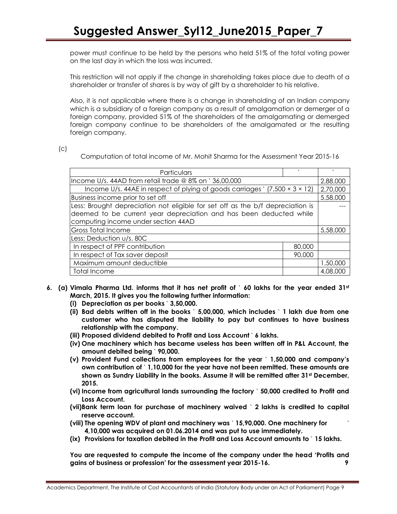power must continue to be held by the persons who held 51% of the total voting power on the last day in which the loss was incurred.

This restriction will not apply if the change in shareholding takes place due to death of a shareholder or transfer of shares is by way of gift by a shareholder to his relative.

Also, it is not applicable where there is a change in shareholding of an Indian company which is a subsidiary of a foreign company as a result of amalgamation or demerger of a foreign company, provided 51% of the shareholders of the amalgamating or demerged foreign company continue to be shareholders of the amalgamated or the resulting foreign company.

 $(c)$ 

Computation of total income of Mr. Mohit Sharma for the Assessment Year 2015-16

| Particulars                                                                           |        |          |
|---------------------------------------------------------------------------------------|--------|----------|
| Income U/s. 44AD from retail trade @ 8% on `36,00,000                                 |        | 2,88,000 |
| Income U/s. 44AE in respect of plying of goods carriages $(7,500 \times 3 \times 12)$ |        | 2,70,000 |
| Business income prior to set off                                                      |        | 5,58,000 |
| Less: Brought depreciation not eligible for set off as the b/f depreciation is        |        |          |
| deemed to be current year depreciation and has been deducted while                    |        |          |
| computing income under section 44AD                                                   |        |          |
| <b>Gross Total Income</b>                                                             |        | 5,58,000 |
| Less: Deduction u/s. 80C                                                              |        |          |
| In respect of PPF contribution                                                        | 80,000 |          |
| In respect of Tax saver deposit                                                       | 90,000 |          |
| Maximum amount deductible                                                             |        | 1,50,000 |
| <b>Total Income</b>                                                                   |        | 4,08,000 |

- **6. (a) Vimala Pharma Ltd. informs that it has net profit of** ` **60 lakhs for the year ended 31st March, 2015. It gives you the following further information:**
	- **(i) Depreciation as per books** ` **3,50,000.**
	- **(ii) Bad debts written off in the books** ` **5,00,000, which includes** ` **1 lakh due from one customer who has disputed the liability to pay but continues to have business relationship with the company.**
	- **(iii) Proposed dividend debited to Profit and Loss Account** ` **6 lakhs.**
	- **(iv) One machinery which has became useless has been written off in P&L Account, the amount debited being** ` **90,000.**
	- **(v) Provident Fund collections from employees for the year** ` **1,50,000 and company's own contribution of** ` **1,10,000 for the year have not been remitted. These amounts are shown as Sundry Liability in the books. Assume it will be remitted after 31st December, 2015.**
	- **(vi) Income from agricultural lands surrounding the factory** ` **50,000 credited to Profit and Loss Account.**
	- **(vii)Bank term loan for purchase of machinery waived** ` **2 lakhs is credited to capital reserve account.**
	- **(viii) The opening WDV of plant and machinery was** ` **15,90,000. One machinery for** ` **4,10,000 was acquired on 01.06.2014 and was put to use immediately.**
	- **(ix) Provisions for taxation debited in the Profit and Loss Account amounts to** ` **15 lakhs.**

**You are requested to compute the income of the company under the head 'Profits and gains of business or profession' for the assessment year 2015-16. 9**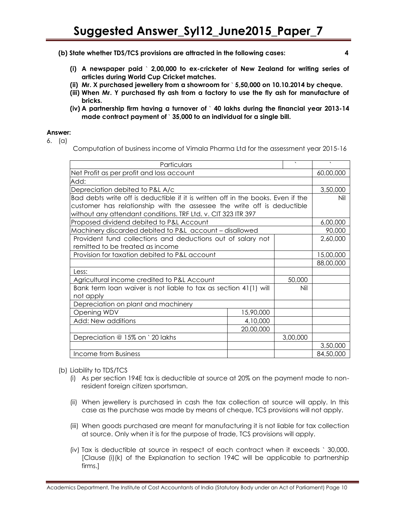- **(b) State whether TDS/TCS provisions are attracted in the following cases: 4**
	- **(i) A newspaper paid** ` **2,00,000 to ex-cricketer of New Zealand for writing series of articles during World Cup Cricket matches.**
	- **(ii) Mr. X purchased jewellery from a showroom for** ` **5,50,000 on 10.10.2014 by cheque.**
	- **(iii) When Mr. Y purchased fly ash from a factory to use the fly ash for manufacture of bricks.**
	- **(iv) A partnership firm having a turnover of** ` **40 lakhs during the financial year 2013-14 made contract payment of** ` **35,000 to an individual for a single bill.**

- 6. (a)
- Computation of business income of Vimala Pharma Ltd for the assessment year 2015-16

| Particulars                                                                      |           | $\overline{\phantom{0}}$ | $\sqrt{2}$ |
|----------------------------------------------------------------------------------|-----------|--------------------------|------------|
| Net Profit as per profit and loss account                                        |           |                          | 60,00,000  |
| Add:                                                                             |           |                          |            |
| Depreciation debited to P&L A/c                                                  |           |                          | 3,50,000   |
| Bad debts write off is deductible if it is written off in the books. Even if the |           |                          | Nil        |
| customer has relationship with the assessee the write off is deductible          |           |                          |            |
| without any attendant conditions. TRF Ltd. v. CIT 323 ITR 397                    |           |                          |            |
| Proposed dividend debited to P&L Account                                         |           |                          | 6,00,000   |
| Machinery discarded debited to P&L account - disallowed                          |           |                          | 90,000     |
| Provident fund collections and deductions out of salary not                      |           | 2,60,000                 |            |
| remitted to be treated as income                                                 |           |                          |            |
| Provision for taxation debited to P&L account                                    |           | 15,00,000                |            |
|                                                                                  |           |                          | 88,00,000  |
| Less:                                                                            |           |                          |            |
| 50,000<br>Agricultural income credited to P&L Account                            |           |                          |            |
| Bank term loan waiver is not liable to tax as section 41(1) will<br>Nil          |           |                          |            |
| not apply                                                                        |           |                          |            |
| Depreciation on plant and machinery                                              |           |                          |            |
| Opening WDV                                                                      | 15,90,000 |                          |            |
| Add: New additions                                                               | 4,10,000  |                          |            |
|                                                                                  | 20,00,000 |                          |            |
| Depreciation @ 15% on ` 20 lakhs                                                 |           | 3,00,000                 |            |
|                                                                                  |           |                          | 3,50,000   |
| Income from Business                                                             |           |                          | 84,50,000  |

#### (b) Liability to TDS/TCS

- (i) As per section 194E tax is deductible at source at 20% on the payment made to nonresident foreign citizen sportsman.
- (ii) When jewellery is purchased in cash the tax collection at source will apply. In this case as the purchase was made by means of cheque, TCS provisions will not apply.
- (iii) When goods purchased are meant for manufacturing it is not liable for tax collection at source. Only when it is for the purpose of trade, TCS provisions will apply.
- (iv) Tax is deductible at source in respect of each contract when it exceeds ` 30,000. [Clause (i)(k) of the Explanation to section 194C will be applicable to partnership firms.]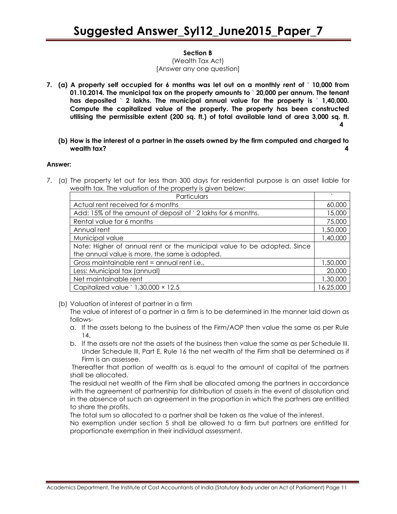#### **Section B**

(Wealth Tax Act) [Answer any one question]

- **7. (a) A property self occupied for 6 months was let out on a monthly rent of** ` **10,000 from 01.10.2014. The municipal tax on the property amounts to** ` **20,000 per annum. The tenant has deposited** ` **2 lakhs. The municipal annual value for the property is** ` **1,40,000. Compute the capitalized value of the property. The property has been constructed utilising the permissible extent (200 sq. ft.) of total available land of area 3,000 sq. ft. 4**
	- **(b) How is the interest of a partner in the assets owned by the firm computed and charged to wealth tax? 4**

#### **Answer:**

7. (a) The property let out for less than 300 days for residential purpose is an asset liable for wealth tax. The valuation of the property is given below:

| Particulars                                                             |           |
|-------------------------------------------------------------------------|-----------|
|                                                                         |           |
| Actual rent received for 6 months                                       | 60,000    |
| Add: 15% of the amount of deposit of `2 lakhs for 6 months.             | 15,000    |
| Rental value for 6 months                                               | 75,000    |
| Annual rent                                                             | 1,50,000  |
| Municipal value                                                         | 1,40,000  |
| Note: Higher of annual rent or the municipal value to be adopted. Since |           |
| the annual value is more, the same is adopted.                          |           |
| Gross maintainable rent = annual rent i.e.,                             | 1,50,000  |
| Less: Municipal tax (annual)                                            | 20,000    |
| Net maintainable rent                                                   | 1,30,000  |
| Capitalized value $\degree$ 1,30,000 $\times$ 12.5                      | 16,25,000 |

(b) Valuation of interest of partner in a firm

The value of interest of a partner in a firm is to be determined in the manner laid down as follows-

- a. If the assets belong to the business of the Firm/AOP then value the same as per Rule 14.
- b. If the assets are not the assets of the business then value the same as per Schedule III. Under Schedule III, Part E, Rule 16 the net wealth of the Firm shall be determined as if Firm is an assessee.

Thereafter that portion of wealth as is equal to the amount of capital of the partners shall be allocated.

The residual net wealth of the Firm shall be allocated among the partners in accordance with the agreement of partnership for distribution of assets in the event of dissolution and in the absence of such an agreement in the proportion in which the partners are entitled to share the profits.

The total sum so allocated to a partner shall be taken as the value of the interest.

No exemption under section 5 shall be allowed to a firm but partners are entitled for proportionate exemption in their individual assessment.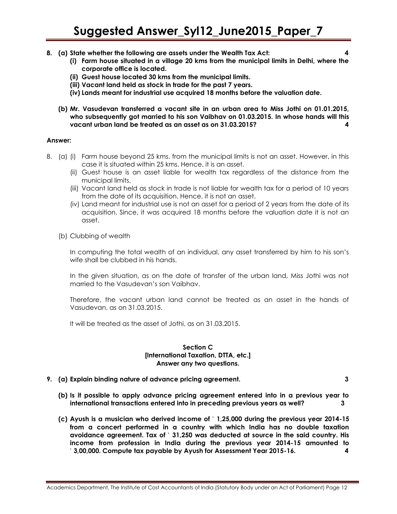- **8. (a) State whether the following are assets under the Wealth Tax Act: 4**
	- **(i) Farm house situated in a village 20 kms from the municipal limits in Delhi, where the corporate office is located.**
	- **(ii) Guest house located 30 kms from the municipal limits.**
	- **(iii) Vacant land held as stock in trade for the past 7 years.**
	- **(iv) Lands meant for industrial use acquired 18 months before the valuation date.**
	- **(b) Mr. Vasudevan transferred a vacant site in an urban area to Miss Jothi on 01.01.2015, who subsequently got married to his son Vaibhav on 01.03.2015. In whose hands will this vacant urban land be treated as an asset as on 31.03.2015? 4**

- 8. (a) (i) Farm house beyond 25 kms. from the municipal limits is not an asset. However, in this case it is situated within 25 kms. Hence, it is an asset.
	- (ii) Guest house is an asset liable for wealth tax regardless of the distance from the municipal limits.
	- (iii) Vacant land held as stock in trade is not liable for wealth tax for a period of 10 years from the date of its acquisition. Hence, it is not an asset.
	- (iv) Land meant for industrial use is not an asset for a period of 2 years from the date of its acquisition. Since, it was acquired 18 months before the valuation date it is not an asset.
	- (b) Clubbing of wealth

In computing the total wealth of an individual, any asset transferred by him to his son's wife shall be clubbed in his hands.

In the given situation, as on the date of transfer of the urban land, Miss Jothi was not married to the Vasudevan's son Vaibhav.

Therefore, the vacant urban land cannot be treated as an asset in the hands of Vasudevan, as on 31.03.2015.

It will be treated as the asset of Jothi, as on 31.03.2015.

#### **Section C [International Taxation, DTTA, etc.] Answer any two questions.**

- **9. (a) Explain binding nature of advance pricing agreement. 3**
	- **(b) Is it possible to apply advance pricing agreement entered into in a previous year to international transactions entered into in preceding previous years as well? 3**
	- **(c) Ayush is a musician who derived income of** ` **1,25,000 during the previous year 2014-15 from a concert performed in a country with which India has no double taxation avoidance agreement. Tax of** ` **31,250 was deducted at source in the said country. His income from profession in India during the previous year 2014-15 amounted to**  ` **3,00,000. Compute tax payable by Ayush for Assessment Year 2015-16. 4**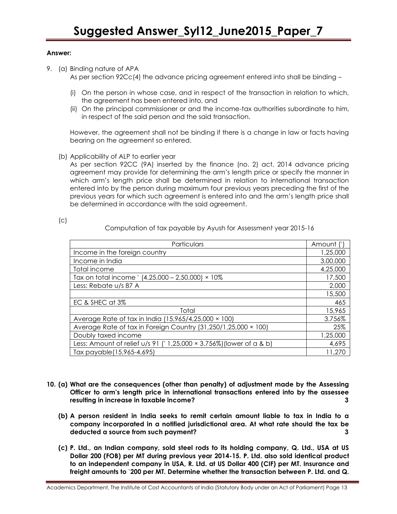9. (a) Binding nature of APA

As per section 92Cc(4) the advance pricing agreement entered into shall be binding –

- (i) On the person in whose case, and in respect of the transaction in relation to which, the agreement has been entered into, and
- (ii) On the principal commissioner or and the income-tax authorities subordinate to him, in respect of the said person and the said transaction.

However, the agreement shall not be binding if there is a change in law or facts having bearing on the agreement so entered.

(b) Applicability of ALP to earlier year

As per section 92CC (9A) inserted by the finance (no. 2) act, 2014 advance pricing agreement may provide for determining the arm's length price or specify the manner in which arm's length price shall be determined in relation to international transaction entered into by the person during maximum four previous years preceding the first of the previous years for which such agreement is entered into and the arm's length price shall be determined in accordance with the said agreement.

Computation of tax payable by Ayush for Assessment year 2015-16

| Particulars                                                         | Amount   |
|---------------------------------------------------------------------|----------|
| Income in the foreign country                                       | 1,25,000 |
| Income in India                                                     | 3,00,000 |
| Total income                                                        | 4,25,000 |
| Tax on total income $(4,25,000 - 2,50,000) \times 10\%$             | 17,500   |
| Less: Rebate u/s 87 A                                               | 2,000    |
|                                                                     | 15,500   |
| EC & SHEC at 3%                                                     | 465      |
| Total                                                               | 15,965   |
| Average Rate of tax in India (15,965/4,25,000 × 100)                | 3.756%   |
| Average Rate of tax in Foreign Country (31,250/1,25,000 × 100)      | 25%      |
| Doubly taxed income                                                 | 1,25,000 |
| Less: Amount of relief u/s 91 ('1,25,000 × 3.756%) (lower of a & b) | 4,695    |
| Tax payable(15,965-4,695)                                           | 11,270   |

- **10. (a) What are the consequences (other than penalty) of adjustment made by the Assessing Officer to arm's length price in international transactions entered into by the assessee resulting in increase in taxable income? 3**
	- **(b) A person resident in India seeks to remit certain amount liable to tax in India to a company incorporated in a notified jurisdictional area. At what rate should the tax be deducted a source from such payment? 3**
	- **(c) P. Ltd., an Indian company, sold steel rods to its holding company, Q. Ltd., USA at US Dollar 200 (FOB) per MT during previous year 2014-15. P. Ltd. also sold identical product to an independent company in USA, R. Ltd. at US Dollar 400 (CIF) per MT. Insurance and freight amounts to** `**200 per MT. Determine whether the transaction between P. Ltd. and Q.**

Academics Department, The Institute of Cost Accountants of India (Statutory Body under an Act of Parliament) Page 13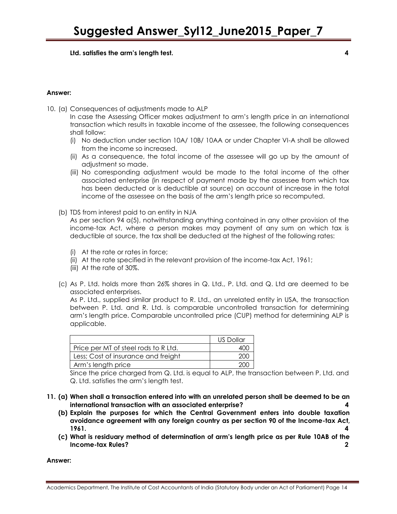**Ltd. satisfies the arm's length test. 4**

#### **Answer:**

10. (a) Consequences of adjustments made to ALP

In case the Assessing Officer makes adjustment to arm's length price in an international transaction which results in taxable income of the assessee, the following consequences shall follow:

- (i) No deduction under section 10A/ 10B/ 10AA or under Chapter VI-A shall be allowed from the income so increased.
- (ii) As a consequence, the total income of the assessee will go up by the amount of adjustment so made.
- (iii) No corresponding adjustment would be made to the total income of the other associated enterprise (in respect of payment made by the assessee from which tax has been deducted or is deductible at source) on account of increase in the total income of the assessee on the basis of the arm's length price so recomputed.
- (b) TDS from interest paid to an entity in NJA

As per section 94 a(5), notwithstanding anything contained in any other provision of the income-tax Act, where a person makes may payment of any sum on which tax is deductible at source, the tax shall be deducted at the highest of the following rates:

- (i) At the rate or rates in force;
- (ii) At the rate specified in the relevant provision of the income-tax Act, 1961;
- (iii) At the rate of 30%.
- (c) As P. Ltd. holds more than 26% shares in Q. Ltd., P. Ltd. and Q. Ltd are deemed to be associated enterprises.

As P. Ltd., supplied similar product to R. Ltd., an unrelated entity in USA, the transaction between P. Ltd. and R. Ltd. is comparable uncontrolled transaction for determining arm's length price. Comparable uncontrolled price (CUP) method for determining ALP is applicable.

|                                      | US Dollar |
|--------------------------------------|-----------|
| Price per MT of steel rods to R Ltd. |           |
| Less; Cost of insurance and freight  | 200       |
| Arm's length price                   | 200       |

Since the price charged from Q. Ltd. is equal to ALP, the transaction between P. Ltd. and Q. Ltd. satisfies the arm's length test.

- **11. (a) When shall a transaction entered into with an unrelated person shall be deemed to be an international transaction with an associated enterprise? 4**
	- **(b) Explain the purposes for which the Central Government enters into double taxation avoidance agreement with any foreign country as per section 90 of the Income-tax Act, 1961. 4**
	- **(c) What is residuary method of determination of arm's length price as per Rule 10AB of the Income-tax Rules? 2**

**Answer:**